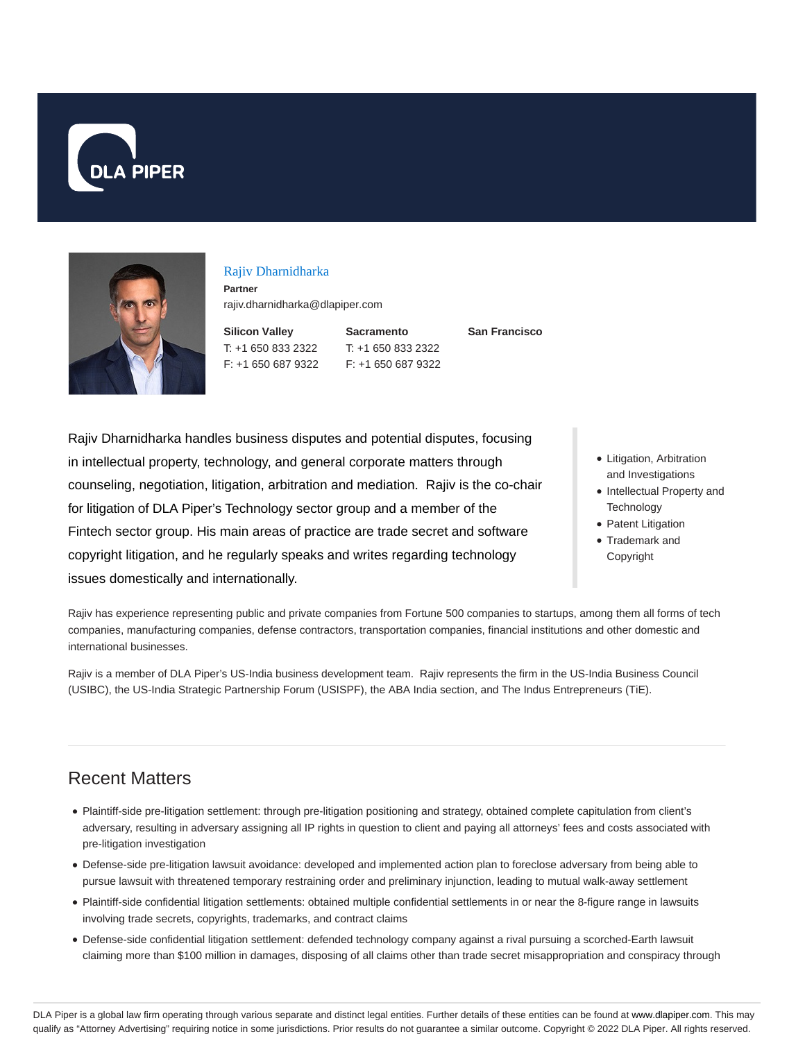



#### Rajiv Dharnidharka

**Partner** rajiv.dharnidharka@dlapiper.com

**Silicon Valley** T: +1 650 833 2322 F: +1 650 687 9322 **Sacramento** T: +1 650 833 2322 F: +1 650 687 9322 **San Francisco**

Rajiv Dharnidharka handles business disputes and potential disputes, focusing in intellectual property, technology, and general corporate matters through counseling, negotiation, litigation, arbitration and mediation. Rajiv is the co-chair for litigation of DLA Piper's Technology sector group and a member of the Fintech sector group. His main areas of practice are trade secret and software copyright litigation, and he regularly speaks and writes regarding technology issues domestically and internationally.

- Litigation, Arbitration and Investigations
- Intellectual Property and **Technology**
- Patent Litigation
- Trademark and Copyright

Rajiv has experience representing public and private companies from Fortune 500 companies to startups, among them all forms of tech companies, manufacturing companies, defense contractors, transportation companies, financial institutions and other domestic and international businesses.

Rajiv is a member of DLA Piper's US-India business development team. Rajiv represents the firm in the US-India Business Council (USIBC), the US-India Strategic Partnership Forum (USISPF), the ABA India section, and The Indus Entrepreneurs (TiE).

# Recent Matters

- Plaintiff-side pre-litigation settlement: through pre-litigation positioning and strategy, obtained complete capitulation from client's adversary, resulting in adversary assigning all IP rights in question to client and paying all attorneys' fees and costs associated with pre-litigation investigation
- Defense-side pre-litigation lawsuit avoidance: developed and implemented action plan to foreclose adversary from being able to pursue lawsuit with threatened temporary restraining order and preliminary injunction, leading to mutual walk-away settlement
- Plaintiff-side confidential litigation settlements: obtained multiple confidential settlements in or near the 8-figure range in lawsuits involving trade secrets, copyrights, trademarks, and contract claims
- Defense-side confidential litigation settlement: defended technology company against a rival pursuing a scorched-Earth lawsuit claiming more than \$100 million in damages, disposing of all claims other than trade secret misappropriation and conspiracy through

DLA Piper is a global law firm operating through various separate and distinct legal entities. Further details of these entities can be found at www.dlapiper.com. This may qualify as "Attorney Advertising" requiring notice in some jurisdictions. Prior results do not guarantee a similar outcome. Copyright @ 2022 DLA Piper. All rights reserved.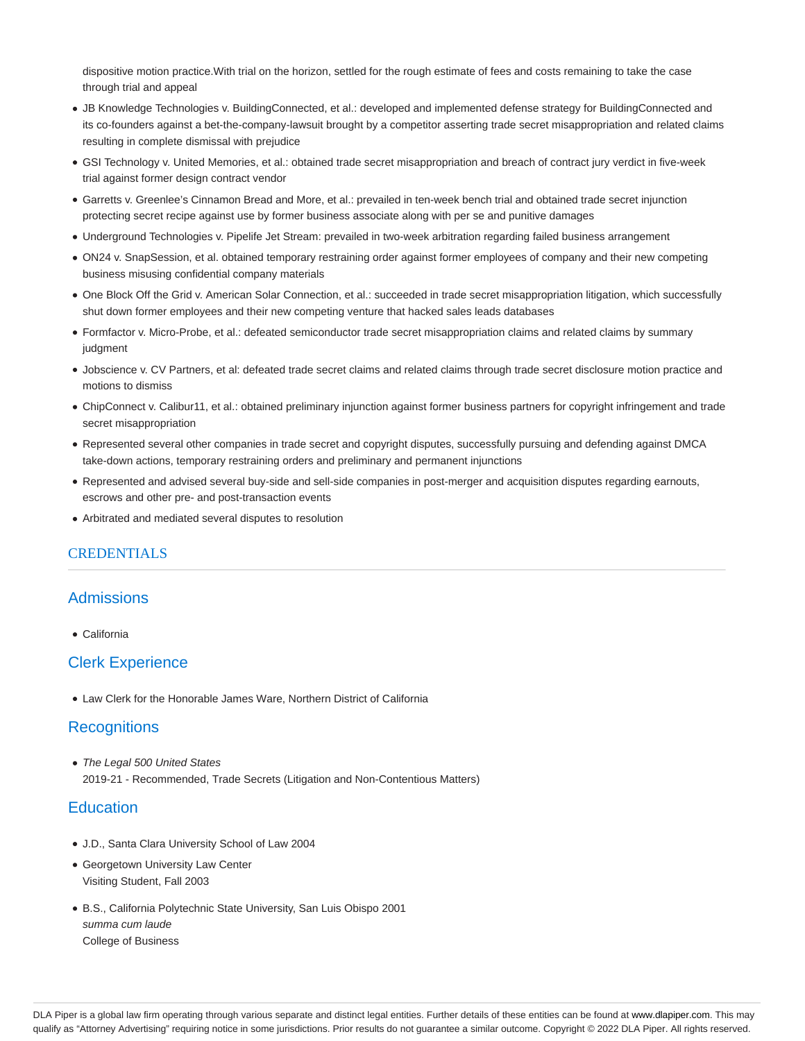dispositive motion practice.With trial on the horizon, settled for the rough estimate of fees and costs remaining to take the case through trial and appeal

- JB Knowledge Technologies v. BuildingConnected, et al.: developed and implemented defense strategy for BuildingConnected and its co-founders against a bet-the-company-lawsuit brought by a competitor asserting trade secret misappropriation and related claims resulting in complete dismissal with prejudice
- GSI Technology v. United Memories, et al.: obtained trade secret misappropriation and breach of contract jury verdict in five-week trial against former design contract vendor
- Garretts v. Greenlee's Cinnamon Bread and More, et al.: prevailed in ten-week bench trial and obtained trade secret injunction protecting secret recipe against use by former business associate along with per se and punitive damages
- Underground Technologies v. Pipelife Jet Stream: prevailed in two-week arbitration regarding failed business arrangement
- ON24 v. SnapSession, et al. obtained temporary restraining order against former employees of company and their new competing business misusing confidential company materials
- One Block Off the Grid v. American Solar Connection, et al.: succeeded in trade secret misappropriation litigation, which successfully shut down former employees and their new competing venture that hacked sales leads databases
- Formfactor v. Micro-Probe, et al.: defeated semiconductor trade secret misappropriation claims and related claims by summary judgment
- Jobscience v. CV Partners, et al: defeated trade secret claims and related claims through trade secret disclosure motion practice and motions to dismiss
- ChipConnect v. Calibur11, et al.: obtained preliminary injunction against former business partners for copyright infringement and trade secret misappropriation
- Represented several other companies in trade secret and copyright disputes, successfully pursuing and defending against DMCA take-down actions, temporary restraining orders and preliminary and permanent injunctions
- Represented and advised several buy-side and sell-side companies in post-merger and acquisition disputes regarding earnouts, escrows and other pre- and post-transaction events
- Arbitrated and mediated several disputes to resolution

#### CREDENTIALS

#### Admissions

California

#### Clerk Experience

Law Clerk for the Honorable James Ware, Northern District of California

#### **Recognitions**

• The Legal 500 United States 2019-21 - Recommended, Trade Secrets (Litigation and Non-Contentious Matters)

#### **Education**

- J.D., Santa Clara University School of Law 2004
- Georgetown University Law Center Visiting Student, Fall 2003
- B.S., California Polytechnic State University, San Luis Obispo 2001 summa cum laude College of Business